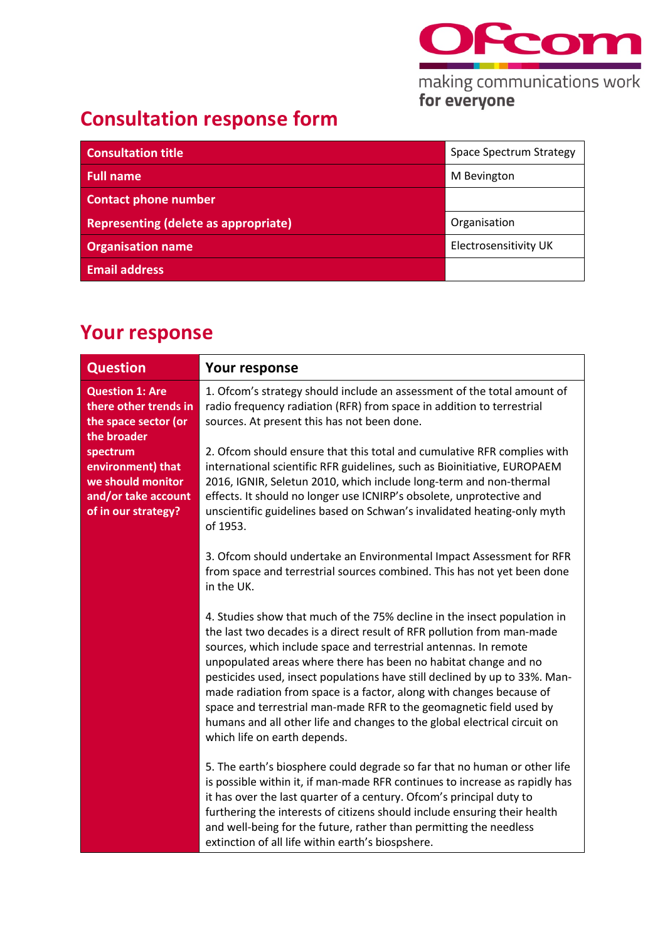

making communications work<br>for everyone

## **Consultation response form**

| <b>Consultation title</b>                   | Space Spectrum Strategy      |
|---------------------------------------------|------------------------------|
| <b>Full name</b>                            | M Bevington                  |
| <b>Contact phone number</b>                 |                              |
| <b>Representing (delete as appropriate)</b> | Organisation                 |
| <b>Organisation name</b>                    | <b>Electrosensitivity UK</b> |
| <b>Email address</b>                        |                              |

## **Your response**

| <b>Question</b>                                                                                  | <b>Your response</b>                                                                                                                                                                                                                                                                                                                                                                                                                                                                                                                                                                                                                |
|--------------------------------------------------------------------------------------------------|-------------------------------------------------------------------------------------------------------------------------------------------------------------------------------------------------------------------------------------------------------------------------------------------------------------------------------------------------------------------------------------------------------------------------------------------------------------------------------------------------------------------------------------------------------------------------------------------------------------------------------------|
| <b>Question 1: Are</b><br>there other trends in<br>the space sector (or<br>the broader           | 1. Ofcom's strategy should include an assessment of the total amount of<br>radio frequency radiation (RFR) from space in addition to terrestrial<br>sources. At present this has not been done.                                                                                                                                                                                                                                                                                                                                                                                                                                     |
| spectrum<br>environment) that<br>we should monitor<br>and/or take account<br>of in our strategy? | 2. Ofcom should ensure that this total and cumulative RFR complies with<br>international scientific RFR guidelines, such as Bioinitiative, EUROPAEM<br>2016, IGNIR, Seletun 2010, which include long-term and non-thermal<br>effects. It should no longer use ICNIRP's obsolete, unprotective and<br>unscientific guidelines based on Schwan's invalidated heating-only myth<br>of 1953.                                                                                                                                                                                                                                            |
|                                                                                                  | 3. Ofcom should undertake an Environmental Impact Assessment for RFR<br>from space and terrestrial sources combined. This has not yet been done<br>in the UK.                                                                                                                                                                                                                                                                                                                                                                                                                                                                       |
|                                                                                                  | 4. Studies show that much of the 75% decline in the insect population in<br>the last two decades is a direct result of RFR pollution from man-made<br>sources, which include space and terrestrial antennas. In remote<br>unpopulated areas where there has been no habitat change and no<br>pesticides used, insect populations have still declined by up to 33%. Man-<br>made radiation from space is a factor, along with changes because of<br>space and terrestrial man-made RFR to the geomagnetic field used by<br>humans and all other life and changes to the global electrical circuit on<br>which life on earth depends. |
|                                                                                                  | 5. The earth's biosphere could degrade so far that no human or other life<br>is possible within it, if man-made RFR continues to increase as rapidly has<br>it has over the last quarter of a century. Ofcom's principal duty to<br>furthering the interests of citizens should include ensuring their health<br>and well-being for the future, rather than permitting the needless<br>extinction of all life within earth's biospshere.                                                                                                                                                                                            |